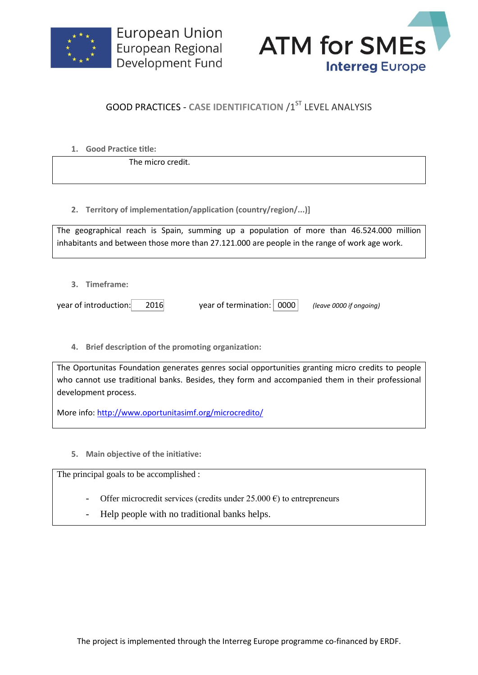



## **GOOD PRACTICES - CASE IDENTIFICATION /1ST LEVEL ANALYSIS**

**1. Good Practice title:**

The micro credit.

**2. Territory of implementation/application (country/region/...)]**

The geographical reach is Spain, summing up a population of more than 46.524.000 million inhabitants and between those more than 27.121.000 are people in the range of work age work.

**3. Timeframe:**

year of introduction: 2016 year of termination: 0000 *(leave 0000 if ongoing)*

**4. Brief description of the promoting organization:**

The Oportunitas Foundation generates genres social opportunities granting micro credits to people who cannot use traditional banks. Besides, they form and accompanied them in their professional development process.

More info:<http://www.oportunitasimf.org/microcredito/>

**5. Main objective of the initiative:**

The principal goals to be accomplished :

- Offer microcredit services (credits under  $25.000 \text{ } \epsilon$ ) to entrepreneurs
- Help people with no traditional banks helps.